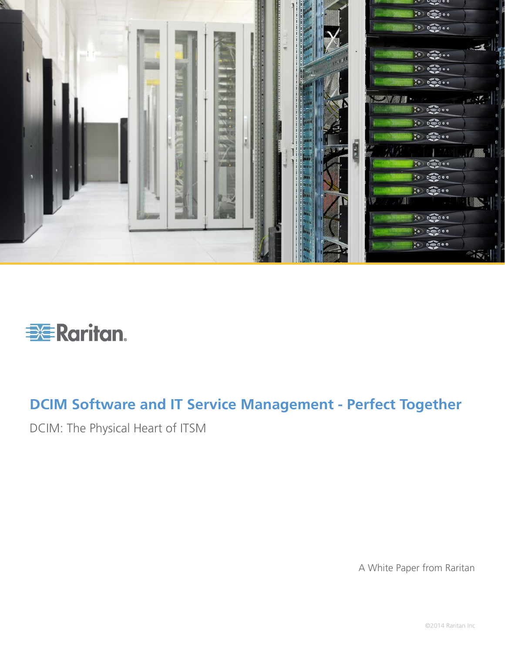



# **DCIM Software and IT Service Management - Perfect Together**

DCIM: The Physical Heart of ITSM

A White Paper from Raritan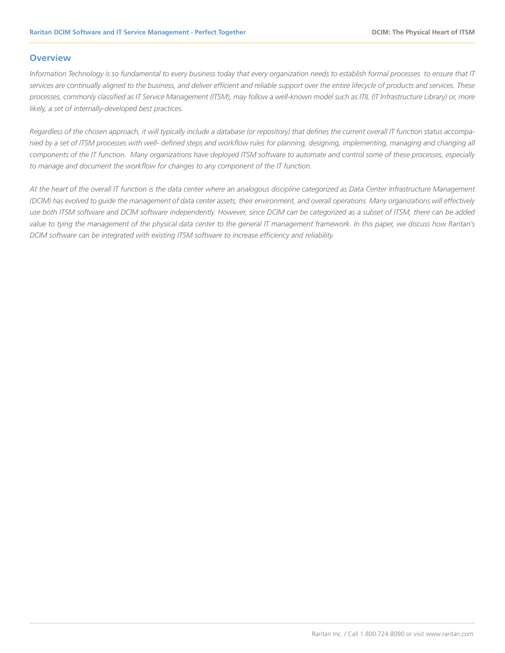## **Overview**

*Information Technology is so fundamental to every business today that every organization needs to establish formal processes to ensure that IT services are continually aligned to the business, and deliver efficient and reliable support over the entire lifecycle of products and services. These processes, commonly classified as IT Service Management (ITSM), may follow a well-known model such as ITIL (IT Infrastructure Library) or, more likely, a set of internally-developed best practices.* 

*Regardless of the chosen approach, it will typically include a database (or repository) that defines the current overall IT function status accompanied by a set of ITSM processes with well- defined steps and workflow rules for planning, designing, implementing, managing and changing all components of the IT function. Many organizations have deployed ITSM software to automate and control some of these processes, especially to manage and document the workflow for changes to any component of the IT function.* 

*At the heart of the overall IT function is the data center where an analogous discipline categorized as Data Center Infrastructure Management (DCIM) has evolved to guide the management of data center assets, their environment, and overall operations. Many organizations will effectively use both ITSM software and DCIM software independently. However, since DCIM can be categorized as a subset of ITSM, there can be added*  value to tying the management of the physical data center to the general IT management framework. In this paper, we discuss how Raritan's *DCIM software can be integrated with existing ITSM software to increase efficiency and reliability.*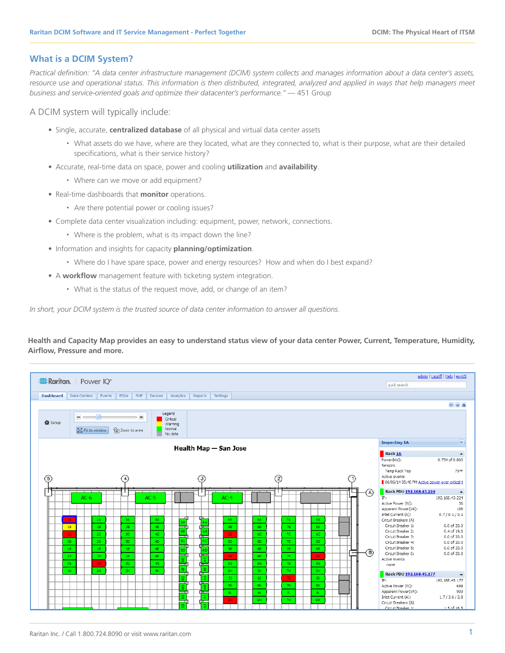## **What is a DCIM System?**

*Practical definition: "A data center infrastructure management (DCIM) system collects and manages information about a data center's assets,*  resource use and operational status. This information is then distributed, integrated, analyzed and applied in ways that help managers meet *business and service-oriented goals and optimize their datacenter's performance."* — 451 Group

A DCIM system will typically include:

- Single, accurate, **centralized database** of all physical and virtual data center assets
	- What assets do we have, where are they located, what are they connected to, what is their purpose, what are their detailed specifications, what is their service history?
- Accurate, real-time data on space, power and cooling **utilization** and **availability**.
	- Where can we move or add equipment?
- Real-time dashboards that **monitor** operations.
	- Are there potential power or cooling issues?
- Complete data center visualization including: equipment, power, network, connections.
	- Where is the problem, what is its impact down the line?
- Information and insights for capacity **planning/optimization**.
	- Where do I have spare space, power and energy resources? How and when do I best expand?
- A **workflow** management feature with ticketing system integration.
	- What is the status of the request move, add, or change of an item?

*In short, your DCIM system is the trusted source of data center information to answer all questions.*

**Health and Capacity Map provides an easy to understand status view of your data center Power, Current, Temperature, Humidity, Airflow, Pressure and more.**

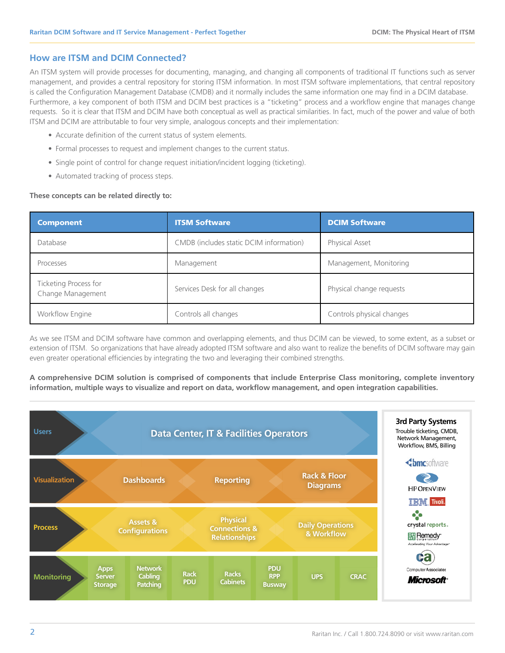## **How are ITSM and DCIM Connected?**

An ITSM system will provide processes for documenting, managing, and changing all components of traditional IT functions such as server management, and provides a central repository for storing ITSM information. In most ITSM software implementations, that central repository is called the Configuration Management Database (CMDB) and it normally includes the same information one may find in a DCIM database. Furthermore, a key component of both ITSM and DCIM best practices is a "ticketing" process and a workflow engine that manages change requests. So it is clear that ITSM and DCIM have both conceptual as well as practical similarities. In fact, much of the power and value of both ITSM and DCIM are attributable to four very simple, analogous concepts and their implementation:

- Accurate definition of the current status of system elements.
- Formal processes to request and implement changes to the current status.
- Single point of control for change request initiation/incident logging (ticketing).
- Automated tracking of process steps.

## **These concepts can be related directly to:**

| <b>Component</b>                           | <b>ITSM Software</b>                    | <b>DCIM Software</b>      |
|--------------------------------------------|-----------------------------------------|---------------------------|
| Database                                   | CMDB (includes static DCIM information) | Physical Asset            |
| Processes                                  | Management                              | Management, Monitoring    |
| Ticketing Process for<br>Change Management | Services Desk for all changes           | Physical change requests  |
| Workflow Engine                            | Controls all changes                    | Controls physical changes |

As we see ITSM and DCIM software have common and overlapping elements, and thus DCIM can be viewed, to some extent, as a subset or extension of ITSM. So organizations that have already adopted ITSM software and also want to realize the benefits of DCIM software may gain even greater operational efficiencies by integrating the two and leveraging their combined strengths.

**A comprehensive DCIM solution is comprised of components that include Enterprise Class monitoring, complete inventory information, multiple ways to visualize and report on data, workflow management, and open integration capabilities.**

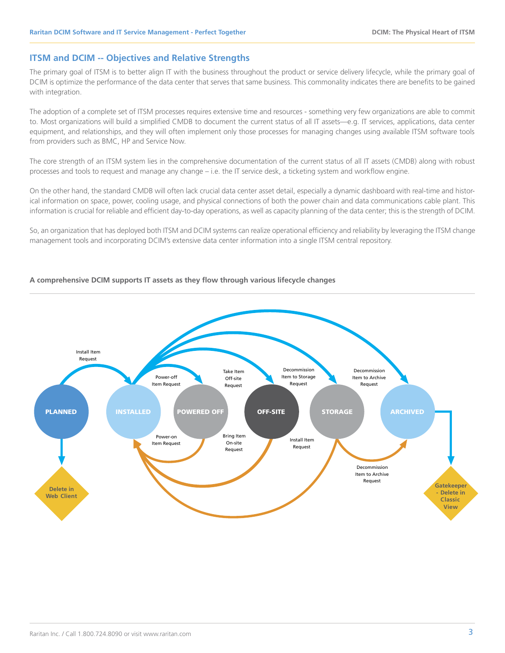# **ITSM and DCIM -- Objectives and Relative Strengths**

The primary goal of ITSM is to better align IT with the business throughout the product or service delivery lifecycle, while the primary goal of DCIM is optimize the performance of the data center that serves that same business. This commonality indicates there are benefits to be gained with integration.

The adoption of a complete set of ITSM processes requires extensive time and resources - something very few organizations are able to commit to. Most organizations will build a simplified CMDB to document the current status of all IT assets—e.g. IT services, applications, data center equipment, and relationships, and they will often implement only those processes for managing changes using available ITSM software tools from providers such as BMC, HP and Service Now.

The core strength of an ITSM system lies in the comprehensive documentation of the current status of all IT assets (CMDB) along with robust processes and tools to request and manage any change – i.e. the IT service desk, a ticketing system and workflow engine.

On the other hand, the standard CMDB will often lack crucial data center asset detail, especially a dynamic dashboard with real-time and historical information on space, power, cooling usage, and physical connections of both the power chain and data communications cable plant. This information is crucial for reliable and efficient day-to-day operations, as well as capacity planning of the data center; this is the strength of DCIM.

So, an organization that has deployed both ITSM and DCIM systems can realize operational efficiency and reliability by leveraging the ITSM change management tools and incorporating DCIM's extensive data center information into a single ITSM central repository.

## **A comprehensive DCIM supports IT assets as they flow through various lifecycle changes**

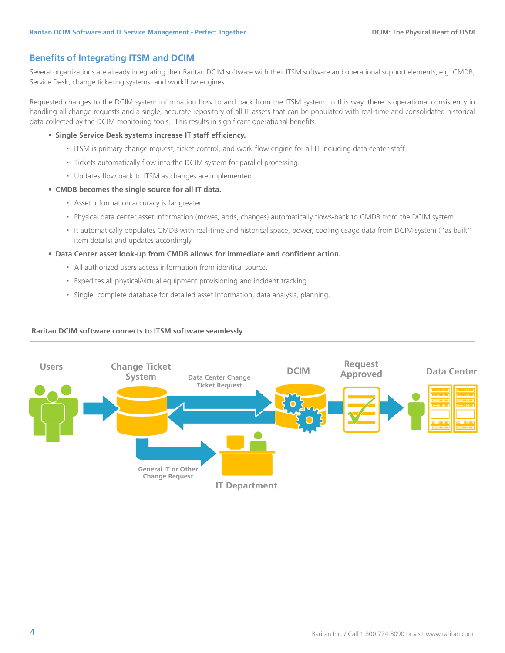# **Benefits of Integrating ITSM and DCIM**

Several organizations are already integrating their Raritan DCIM software with their ITSM software and operational support elements, e.g. CMDB, Service Desk, change ticketing systems, and workflow engines.

Requested changes to the DCIM system information flow to and back from the ITSM system. In this way, there is operational consistency in handling all change requests and a single, accurate repository of all IT assets that can be populated with real-time and consolidated historical data collected by the DCIM monitoring tools. This results in significant operational benefits.

- **• Single Service Desk systems increase IT staff efficiency.**
	- ITSM is primary change request, ticket control, and work flow engine for all IT including data center staff.
	- Tickets automatically flow into the DCIM system for parallel processing.
	- Updates flow back to ITSM as changes are implemented.

## **• CMDB becomes the single source for all IT data.**

- Asset information accuracy is far greater.
- Physical data center asset information (moves, adds, changes) automatically flows-back to CMDB from the DCIM system.
- It automatically populates CMDB with real-time and historical space, power, cooling usage data from DCIM system ("as built" item details) and updates accordingly.

## **• Data Center asset look-up from CMDB allows for immediate and confident action.**

- All authorized users access information from identical source.
- Expedites all physical/virtual equipment provisioning and incident tracking.
- Single, complete database for detailed asset information, data analysis, planning.

## **Raritan DCIM software connects to ITSM software seamlessly**

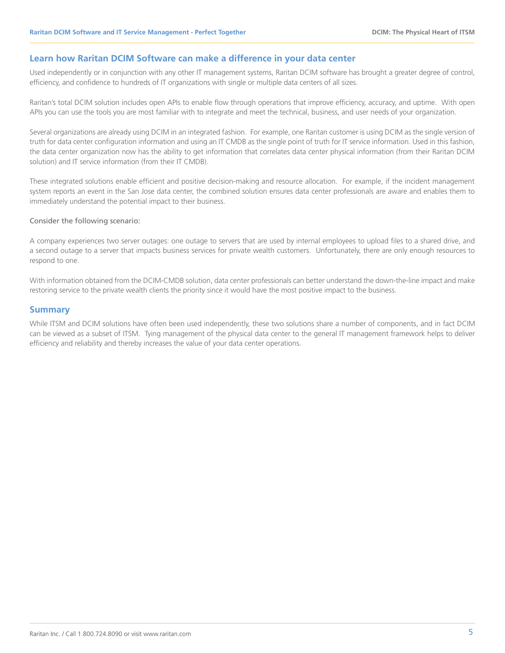## **Learn how Raritan DCIM Software can make a difference in your data center**

Used independently or in conjunction with any other IT management systems, Raritan DCIM software has brought a greater degree of control, efficiency, and confidence to hundreds of IT organizations with single or multiple data centers of all sizes.

Raritan's total DCIM solution includes open APIs to enable flow through operations that improve efficiency, accuracy, and uptime. With open APIs you can use the tools you are most familiar with to integrate and meet the technical, business, and user needs of your organization.

Several organizations are already using DCIM in an integrated fashion. For example, one Raritan customer is using DCIM as the single version of truth for data center configuration information and using an IT CMDB as the single point of truth for IT service information. Used in this fashion, the data center organization now has the ability to get information that correlates data center physical information (from their Raritan DCIM solution) and IT service information (from their IT CMDB).

These integrated solutions enable efficient and positive decision-making and resource allocation. For example, if the incident management system reports an event in the San Jose data center, the combined solution ensures data center professionals are aware and enables them to immediately understand the potential impact to their business.

#### Consider the following scenario:

A company experiences two server outages: one outage to servers that are used by internal employees to upload files to a shared drive, and a second outage to a server that impacts business services for private wealth customers. Unfortunately, there are only enough resources to respond to one.

With information obtained from the DCIM-CMDB solution, data center professionals can better understand the down-the-line impact and make restoring service to the private wealth clients the priority since it would have the most positive impact to the business.

# **Summary**

While ITSM and DCIM solutions have often been used independently, these two solutions share a number of components, and in fact DCIM can be viewed as a subset of ITSM. Tying management of the physical data center to the general IT management framework helps to deliver efficiency and reliability and thereby increases the value of your data center operations.